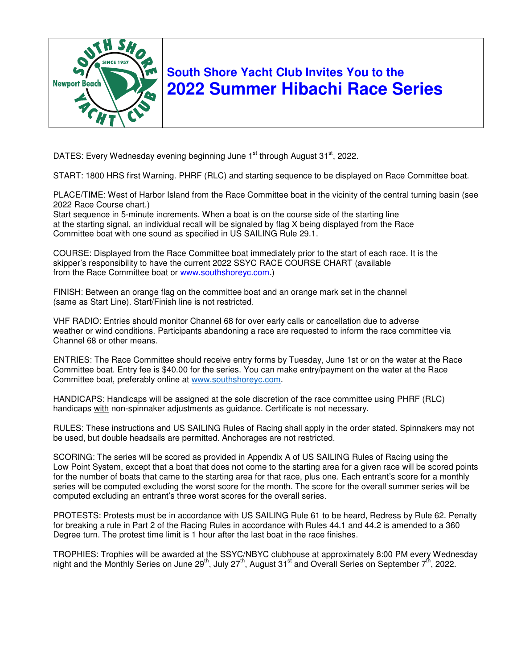

## **South Shore Yacht Club Invites You to the 2022 Summer Hibachi Race Series**

DATES: Every Wednesday evening beginning June 1<sup>st</sup> through August 31<sup>st</sup>, 2022.

START: 1800 HRS first Warning. PHRF (RLC) and starting sequence to be displayed on Race Committee boat.

PLACE/TIME: West of Harbor Island from the Race Committee boat in the vicinity of the central turning basin (see 2022 Race Course chart.)

Start sequence in 5-minute increments. When a boat is on the course side of the starting line at the starting signal, an individual recall will be signaled by flag X being displayed from the Race Committee boat with one sound as specified in US SAILING Rule 29.1.

COURSE: Displayed from the Race Committee boat immediately prior to the start of each race. It is the skipper's responsibility to have the current 2022 SSYC RACE COURSE CHART (available from the Race Committee boat or www.southshoreyc.com.)

FINISH: Between an orange flag on the committee boat and an orange mark set in the channel (same as Start Line). Start/Finish line is not restricted.

VHF RADIO: Entries should monitor Channel 68 for over early calls or cancellation due to adverse weather or wind conditions. Participants abandoning a race are requested to inform the race committee via Channel 68 or other means.

ENTRIES: The Race Committee should receive entry forms by Tuesday, June 1st or on the water at the Race Committee boat. Entry fee is \$40.00 for the series. You can make entry/payment on the water at the Race Committee boat, preferably online at www.southshoreyc.com.

HANDICAPS: Handicaps will be assigned at the sole discretion of the race committee using PHRF (RLC) handicaps with non-spinnaker adjustments as guidance. Certificate is not necessary.

RULES: These instructions and US SAILING Rules of Racing shall apply in the order stated. Spinnakers may not be used, but double headsails are permitted. Anchorages are not restricted.

SCORING: The series will be scored as provided in Appendix A of US SAILING Rules of Racing using the Low Point System, except that a boat that does not come to the starting area for a given race will be scored points for the number of boats that came to the starting area for that race, plus one. Each entrant's score for a monthly series will be computed excluding the worst score for the month. The score for the overall summer series will be computed excluding an entrant's three worst scores for the overall series.

PROTESTS: Protests must be in accordance with US SAILING Rule 61 to be heard, Redress by Rule 62. Penalty for breaking a rule in Part 2 of the Racing Rules in accordance with Rules 44.1 and 44.2 is amended to a 360 Degree turn. The protest time limit is 1 hour after the last boat in the race finishes.

TROPHIES: Trophies will be awarded at the SSYC/NBYC clubhouse at approximately 8:00 PM every Wednesday night and the Monthly Series on June 29<sup>th</sup>, July 27<sup>th</sup>, August 31<sup>st</sup> and Overall Series on September 7<sup>th</sup>, 2022.